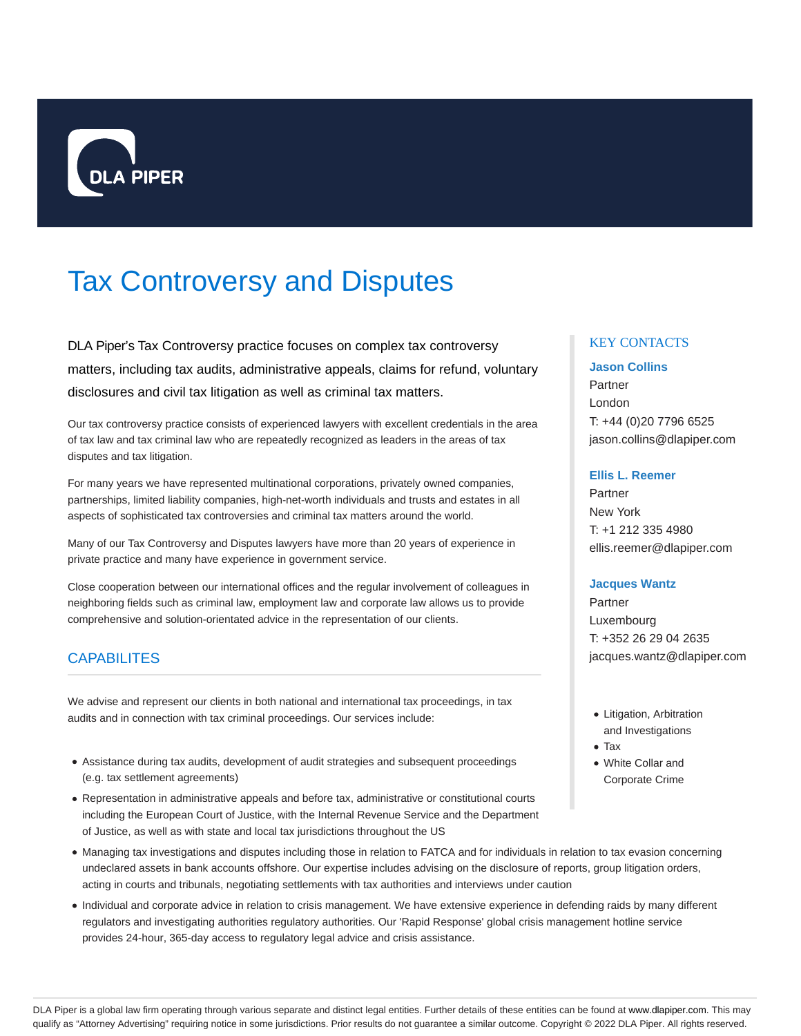

# Tax Controversy and Disputes

DLA Piper's Tax Controversy practice focuses on complex tax controversy matters, including tax audits, administrative appeals, claims for refund, voluntary disclosures and civil tax litigation as well as criminal tax matters.

Our tax controversy practice consists of experienced lawyers with excellent credentials in the area of tax law and tax criminal law who are repeatedly recognized as leaders in the areas of tax disputes and tax litigation.

For many years we have represented multinational corporations, privately owned companies, partnerships, limited liability companies, high-net-worth individuals and trusts and estates in all aspects of sophisticated tax controversies and criminal tax matters around the world.

Many of our Tax Controversy and Disputes lawyers have more than 20 years of experience in private practice and many have experience in government service.

Close cooperation between our international offices and the regular involvement of colleagues in neighboring fields such as criminal law, employment law and corporate law allows us to provide comprehensive and solution-orientated advice in the representation of our clients.

# **CAPABILITES**

We advise and represent our clients in both national and international tax proceedings, in tax audits and in connection with tax criminal proceedings. Our services include:

- Assistance during tax audits, development of audit strategies and subsequent proceedings (e.g. tax settlement agreements)
- Representation in administrative appeals and before tax, administrative or constitutional courts including the European Court of Justice, with the Internal Revenue Service and the Department of Justice, as well as with state and local tax jurisdictions throughout the US

## Managing tax investigations and disputes including those in relation to FATCA and for individuals in relation to tax evasion concerning undeclared assets in bank accounts offshore. Our expertise includes advising on the disclosure of reports, group litigation orders, acting in courts and tribunals, negotiating settlements with tax authorities and interviews under caution

Individual and corporate advice in relation to crisis management. We have extensive experience in defending raids by many different regulators and investigating authorities regulatory authorities. Our 'Rapid Response' global crisis management hotline service provides 24-hour, 365-day access to regulatory legal advice and crisis assistance.

## KEY CONTACTS

## **Jason Collins**

Partner London T: +44 (0)20 7796 6525 jason.collins@dlapiper.com

## **Ellis L. Reemer**

Partner New York T: +1 212 335 4980 ellis.reemer@dlapiper.com

#### **Jacques Wantz**

Partner Luxembourg T: +352 26 29 04 2635 jacques.wantz@dlapiper.com

- Litigation, Arbitration and Investigations
- Tax
- White Collar and Corporate Crime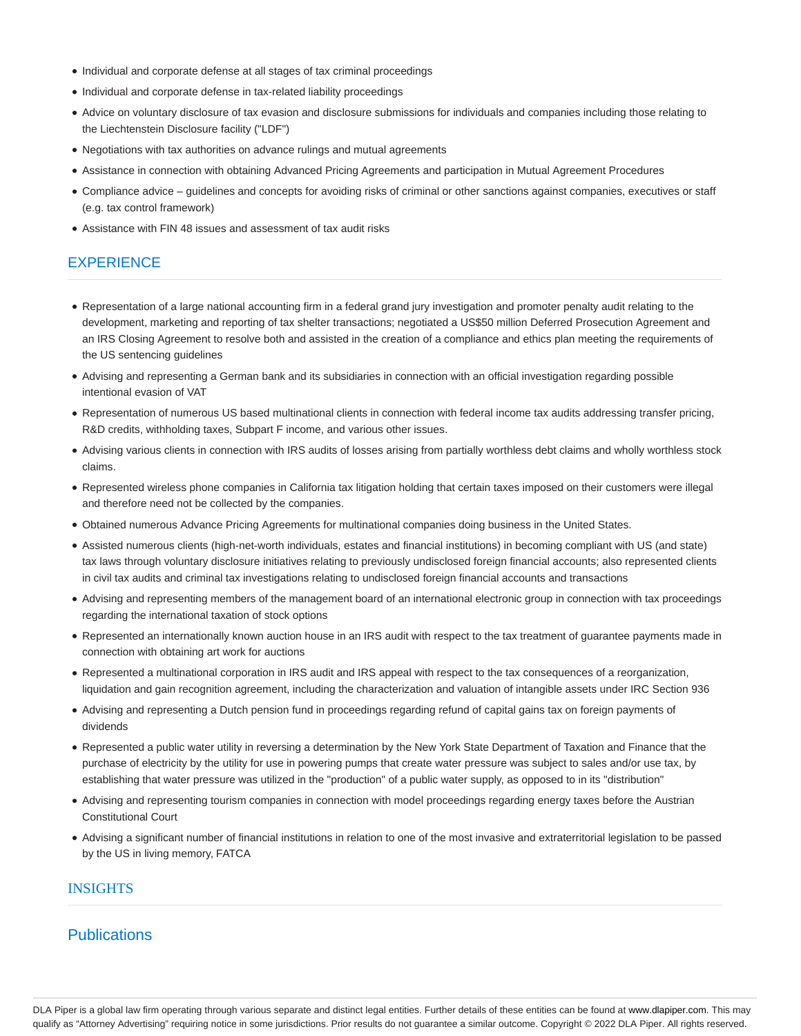- Individual and corporate defense at all stages of tax criminal proceedings
- Individual and corporate defense in tax-related liability proceedings
- Advice on voluntary disclosure of tax evasion and disclosure submissions for individuals and companies including those relating to the Liechtenstein Disclosure facility ("LDF")
- Negotiations with tax authorities on advance rulings and mutual agreements
- Assistance in connection with obtaining Advanced Pricing Agreements and participation in Mutual Agreement Procedures
- Compliance advice guidelines and concepts for avoiding risks of criminal or other sanctions against companies, executives or staff (e.g. tax control framework)
- Assistance with FIN 48 issues and assessment of tax audit risks

# **EXPERIENCE**

- Representation of a large national accounting firm in a federal grand jury investigation and promoter penalty audit relating to the development, marketing and reporting of tax shelter transactions; negotiated a US\$50 million Deferred Prosecution Agreement and an IRS Closing Agreement to resolve both and assisted in the creation of a compliance and ethics plan meeting the requirements of the US sentencing guidelines
- Advising and representing a German bank and its subsidiaries in connection with an official investigation regarding possible intentional evasion of VAT
- Representation of numerous US based multinational clients in connection with federal income tax audits addressing transfer pricing, R&D credits, withholding taxes, Subpart F income, and various other issues.
- Advising various clients in connection with IRS audits of losses arising from partially worthless debt claims and wholly worthless stock claims.
- Represented wireless phone companies in California tax litigation holding that certain taxes imposed on their customers were illegal and therefore need not be collected by the companies.
- Obtained numerous Advance Pricing Agreements for multinational companies doing business in the United States.
- Assisted numerous clients (high-net-worth individuals, estates and financial institutions) in becoming compliant with US (and state) tax laws through voluntary disclosure initiatives relating to previously undisclosed foreign financial accounts; also represented clients in civil tax audits and criminal tax investigations relating to undisclosed foreign financial accounts and transactions
- Advising and representing members of the management board of an international electronic group in connection with tax proceedings regarding the international taxation of stock options
- Represented an internationally known auction house in an IRS audit with respect to the tax treatment of guarantee payments made in connection with obtaining art work for auctions
- Represented a multinational corporation in IRS audit and IRS appeal with respect to the tax consequences of a reorganization, liquidation and gain recognition agreement, including the characterization and valuation of intangible assets under IRC Section 936
- Advising and representing a Dutch pension fund in proceedings regarding refund of capital gains tax on foreign payments of dividends
- Represented a public water utility in reversing a determination by the New York State Department of Taxation and Finance that the purchase of electricity by the utility for use in powering pumps that create water pressure was subject to sales and/or use tax, by establishing that water pressure was utilized in the "production" of a public water supply, as opposed to in its "distribution"
- Advising and representing tourism companies in connection with model proceedings regarding energy taxes before the Austrian Constitutional Court
- Advising a significant number of financial institutions in relation to one of the most invasive and extraterritorial legislation to be passed by the US in living memory, FATCA

## INSIGHTS

# **Publications**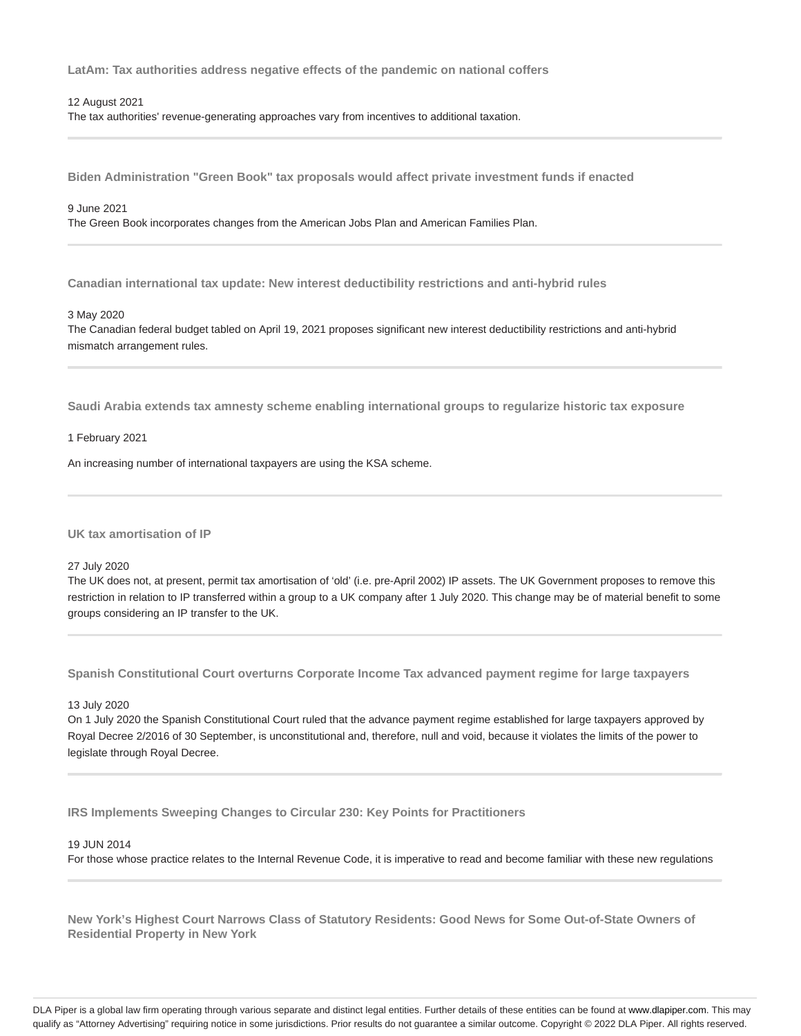**LatAm: Tax authorities address negative effects of the pandemic on national coffers**

#### 12 August 2021

The tax authorities' revenue-generating approaches vary from incentives to additional taxation.

**Biden Administration "Green Book" tax proposals would affect private investment funds if enacted**

## 9 June 2021

The Green Book incorporates changes from the American Jobs Plan and American Families Plan.

**Canadian international tax update: New interest deductibility restrictions and anti-hybrid rules**

#### 3 May 2020

The Canadian federal budget tabled on April 19, 2021 proposes significant new interest deductibility restrictions and anti-hybrid mismatch arrangement rules.

**Saudi Arabia extends tax amnesty scheme enabling international groups to regularize historic tax exposure**

#### 1 February 2021

An increasing number of international taxpayers are using the KSA scheme.

**UK tax amortisation of IP**

#### 27 July 2020

The UK does not, at present, permit tax amortisation of 'old' (i.e. pre-April 2002) IP assets. The UK Government proposes to remove this restriction in relation to IP transferred within a group to a UK company after 1 July 2020. This change may be of material benefit to some groups considering an IP transfer to the UK.

**Spanish Constitutional Court overturns Corporate Income Tax advanced payment regime for large taxpayers**

## 13 July 2020

On 1 July 2020 the Spanish Constitutional Court ruled that the advance payment regime established for large taxpayers approved by Royal Decree 2/2016 of 30 September, is unconstitutional and, therefore, null and void, because it violates the limits of the power to legislate through Royal Decree.

**IRS Implements Sweeping Changes to Circular 230: Key Points for Practitioners**

#### 19 JUN 2014

For those whose practice relates to the Internal Revenue Code, it is imperative to read and become familiar with these new regulations

**New York's Highest Court Narrows Class of Statutory Residents: Good News for Some Out-of-State Owners of Residential Property in New York**

DLA Piper is a global law firm operating through various separate and distinct legal entities. Further details of these entities can be found at www.dlapiper.com. This may qualify as "Attorney Advertising" requiring notice in some jurisdictions. Prior results do not guarantee a similar outcome. Copyright @ 2022 DLA Piper. All rights reserved.